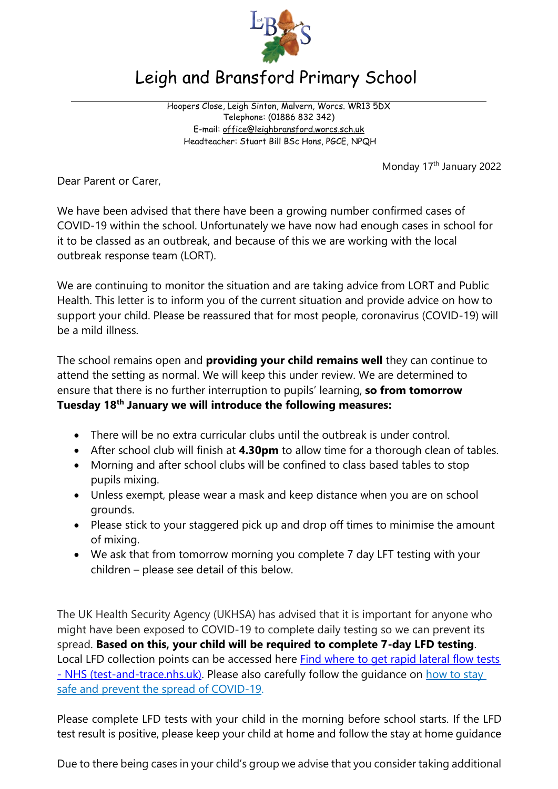

## Leigh and Bransford Primary School

Hoopers Close, Leigh Sinton, Malvern, Worcs. WR13 5DX Telephone: (01886 832 342) E-mail: [office@leighbransford.worcs.sch.uk](mailto:office@leighbransford.worcs.sch.uk) Headteacher: Stuart Bill BSc Hons, PGCE, NPQH

Monday 17<sup>th</sup> January 2022

Dear Parent or Carer,

We have been advised that there have been a growing number confirmed cases of COVID-19 within the school. Unfortunately we have now had enough cases in school for it to be classed as an outbreak, and because of this we are working with the local outbreak response team (LORT).

We are continuing to monitor the situation and are taking advice from LORT and Public Health. This letter is to inform you of the current situation and provide advice on how to support your child. Please be reassured that for most people, coronavirus (COVID-19) will be a mild illness.

The school remains open and **providing your child remains well** they can continue to attend the setting as normal. We will keep this under review. We are determined to ensure that there is no further interruption to pupils' learning, **so from tomorrow Tuesday 18th January we will introduce the following measures:**

- There will be no extra curricular clubs until the outbreak is under control.
- After school club will finish at **4.30pm** to allow time for a thorough clean of tables.
- Morning and after school clubs will be confined to class based tables to stop pupils mixing.
- Unless exempt, please wear a mask and keep distance when you are on school grounds.
- Please stick to your staggered pick up and drop off times to minimise the amount of mixing.
- We ask that from tomorrow morning you complete 7 day LFT testing with your children – please see detail of this below.

The UK Health Security Agency (UKHSA) has advised that it is important for anyone who might have been exposed to COVID-19 to complete daily testing so we can prevent its spread. **Based on this, your child will be required to complete 7-day LFD testing**. Local LFD collection points can be accessed here [Find where to get rapid lateral flow tests](https://maps.test-and-trace.nhs.uk/)  - [NHS \(test-and-trace.nhs.uk\).](https://maps.test-and-trace.nhs.uk/) Please also carefully follow the quidance on [how](https://www.gov.uk/government/publications/covid-19-response-summer-2021-roadmap/coronavirus-how-to-stay-safe-and-help-prevent-the-spread) to stay safe and prevent the spread of [COVID-19.](https://www.gov.uk/government/publications/covid-19-response-summer-2021-roadmap/coronavirus-how-to-stay-safe-and-help-prevent-the-spread) 

Please complete LFD tests with your child in the morning before school starts. If the LFD test result is positive, please keep your child at home and follow the stay at home guidance

Due to there being cases in your child's group we advise that you consider taking additional